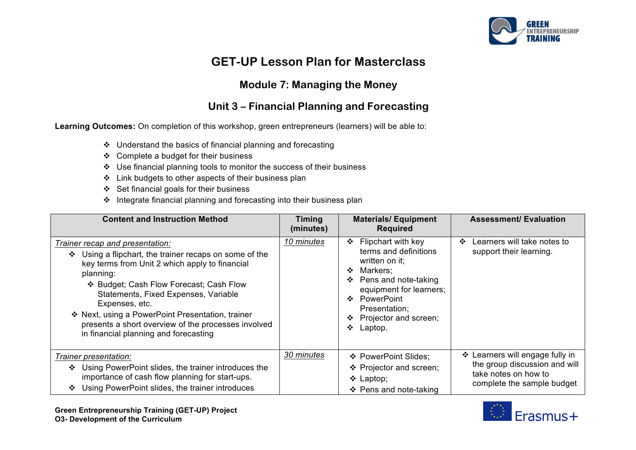

# **GET-UP Lesson Plan for Masterclass**

### **Module 7: Managing the Money**

## **Unit 3 – Financial Planning and Forecasting**

**Learning Outcomes:** On completion of this workshop, green entrepreneurs (learners) will be able to:

- $\cdot$  Understand the basics of financial planning and forecasting
- $\div$  Complete a budget for their business
- $\div$  Use financial planning tools to monitor the success of their business
- v Link budgets to other aspects of their business plan
- $\div$  Set financial goals for their business
- $\cdot$  Integrate financial planning and forecasting into their business plan

| <b>Content and Instruction Method</b>                                                                                                                                                                                                                                                                                                                                                                                | <b>Timing</b><br>(minutes) | <b>Materials/Equipment</b><br><b>Required</b>                                                                                                                                                                                                       | <b>Assessment/ Evaluation</b>                                                                                          |
|----------------------------------------------------------------------------------------------------------------------------------------------------------------------------------------------------------------------------------------------------------------------------------------------------------------------------------------------------------------------------------------------------------------------|----------------------------|-----------------------------------------------------------------------------------------------------------------------------------------------------------------------------------------------------------------------------------------------------|------------------------------------------------------------------------------------------------------------------------|
| Trainer recap and presentation:<br>Using a flipchart, the trainer recaps on some of the<br>❖<br>key terms from Unit 2 which apply to financial<br>planning:<br>❖ Budget; Cash Flow Forecast; Cash Flow<br>Statements, Fixed Expenses, Variable<br>Expenses, etc.<br>❖ Next, using a PowerPoint Presentation, trainer<br>presents a short overview of the processes involved<br>in financial planning and forecasting | 10 minutes                 | Flipchart with key<br>❖<br>terms and definitions<br>written on it;<br>Markers:<br>$\mathbf{r}$<br>Pens and note-taking<br>❖<br>equipment for learners;<br>PowerPoint<br>$\mathbf{A}$<br>Presentation;<br>Projector and screen;<br>❖<br>❖<br>Laptop. | Learners will take notes to<br>$\mathbf{r}$<br>support their learning.                                                 |
| Trainer presentation:<br>Using PowerPoint slides, the trainer introduces the<br>❖<br>importance of cash flow planning for start-ups.<br>Using PowerPoint slides, the trainer introduces<br>❖                                                                                                                                                                                                                         | 30 minutes                 | ❖ PowerPoint Slides;<br>❖ Projector and screen;<br>$\div$ Laptop;<br>❖ Pens and note-taking                                                                                                                                                         | ❖ Learners will engage fully in<br>the group discussion and will<br>take notes on how to<br>complete the sample budget |

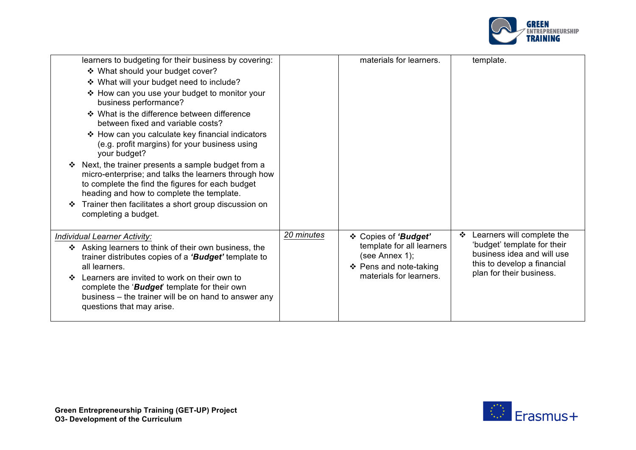

|         | learners to budgeting for their business by covering:                                                                                                                                                      |            | materials for learners.                                               | template.                                                                                |
|---------|------------------------------------------------------------------------------------------------------------------------------------------------------------------------------------------------------------|------------|-----------------------------------------------------------------------|------------------------------------------------------------------------------------------|
|         | ❖ What should your budget cover?                                                                                                                                                                           |            |                                                                       |                                                                                          |
|         | ❖ What will your budget need to include?                                                                                                                                                                   |            |                                                                       |                                                                                          |
|         | ❖ How can you use your budget to monitor your<br>business performance?                                                                                                                                     |            |                                                                       |                                                                                          |
|         | ❖ What is the difference between difference<br>between fixed and variable costs?                                                                                                                           |            |                                                                       |                                                                                          |
|         | ❖ How can you calculate key financial indicators<br>(e.g. profit margins) for your business using<br>your budget?                                                                                          |            |                                                                       |                                                                                          |
|         | Next, the trainer presents a sample budget from a<br>micro-enterprise; and talks the learners through how<br>to complete the find the figures for each budget<br>heading and how to complete the template. |            |                                                                       |                                                                                          |
|         | Trainer then facilitates a short group discussion on<br>completing a budget.                                                                                                                               |            |                                                                       |                                                                                          |
|         | Individual Learner Activity:                                                                                                                                                                               | 20 minutes | ❖ Copies of 'Budget'                                                  | Learners will complete the<br>❖                                                          |
|         | Asking learners to think of their own business, the<br>trainer distributes copies of a 'Budget' template to<br>all learners.                                                                               |            | template for all learners<br>(see Annex 1);<br>❖ Pens and note-taking | 'budget' template for their<br>business idea and will use<br>this to develop a financial |
| $\cdot$ | Learners are invited to work on their own to<br>complete the ' <b>Budget'</b> template for their own<br>business – the trainer will be on hand to answer any<br>questions that may arise.                  |            | materials for learners.                                               | plan for their business.                                                                 |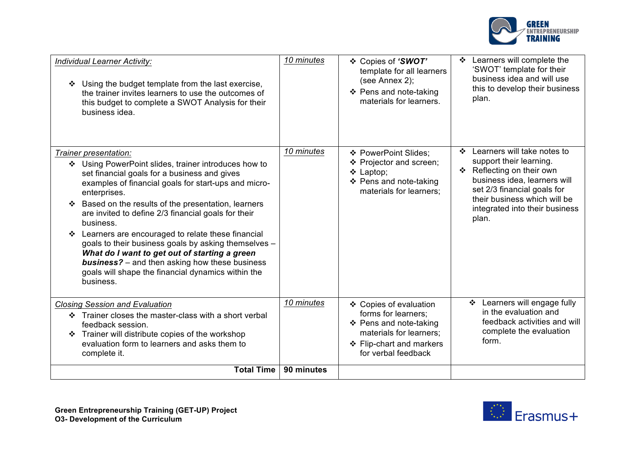

| Individual Learner Activity:<br>Using the budget template from the last exercise,<br>❖<br>the trainer invites learners to use the outcomes of<br>this budget to complete a SWOT Analysis for their<br>business idea.                                                                                                                                                                                                                                                                                                                                                                                                           | 10 minutes | ❖ Copies of 'SWOT'<br>template for all learners<br>(see Annex 2);<br>❖ Pens and note-taking<br>materials for learners.                                | Learners will complete the<br>❖<br>'SWOT' template for their<br>business idea and will use<br>this to develop their business<br>plan.                                                                                              |
|--------------------------------------------------------------------------------------------------------------------------------------------------------------------------------------------------------------------------------------------------------------------------------------------------------------------------------------------------------------------------------------------------------------------------------------------------------------------------------------------------------------------------------------------------------------------------------------------------------------------------------|------------|-------------------------------------------------------------------------------------------------------------------------------------------------------|------------------------------------------------------------------------------------------------------------------------------------------------------------------------------------------------------------------------------------|
| Trainer presentation:<br>❖ Using PowerPoint slides, trainer introduces how to<br>set financial goals for a business and gives<br>examples of financial goals for start-ups and micro-<br>enterprises.<br>Based on the results of the presentation, learners<br>are invited to define 2/3 financial goals for their<br>business.<br>Learners are encouraged to relate these financial<br>❖<br>goals to their business goals by asking themselves -<br>What do I want to get out of starting a green<br><b>business?</b> – and then asking how these business<br>goals will shape the financial dynamics within the<br>business. | 10 minutes | ❖ PowerPoint Slides;<br>❖ Projector and screen;<br>$\div$ Laptop;<br>❖ Pens and note-taking<br>materials for learners;                                | Learners will take notes to<br>❖<br>support their learning.<br>❖ Reflecting on their own<br>business idea, learners will<br>set 2/3 financial goals for<br>their business which will be<br>integrated into their business<br>plan. |
| <b>Closing Session and Evaluation</b><br>Trainer closes the master-class with a short verbal<br>❖<br>feedback session.<br>Trainer will distribute copies of the workshop<br>evaluation form to learners and asks them to<br>complete it.                                                                                                                                                                                                                                                                                                                                                                                       | 10 minutes | ❖ Copies of evaluation<br>forms for learners;<br>❖ Pens and note-taking<br>materials for learners;<br>❖ Flip-chart and markers<br>for verbal feedback | Learners will engage fully<br>❖<br>in the evaluation and<br>feedback activities and will<br>complete the evaluation<br>form.                                                                                                       |
| <b>Total Time</b>                                                                                                                                                                                                                                                                                                                                                                                                                                                                                                                                                                                                              | 90 minutes |                                                                                                                                                       |                                                                                                                                                                                                                                    |

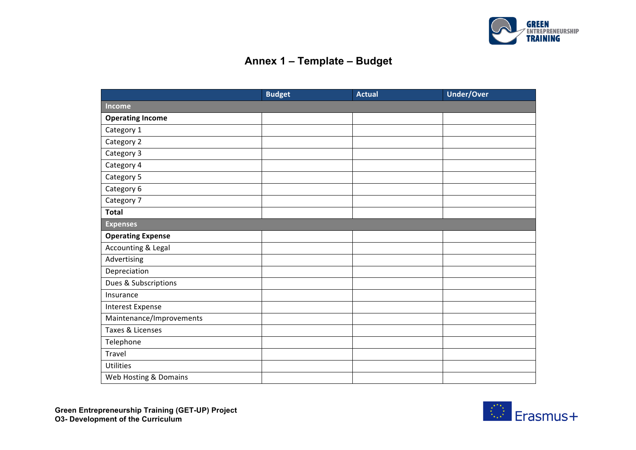

# **Annex 1 – Template – Budget**

|                          | <b>Budget</b> | <b>Actual</b> | <b>Under/Over</b> |
|--------------------------|---------------|---------------|-------------------|
| <b>Income</b>            |               |               |                   |
| <b>Operating Income</b>  |               |               |                   |
| Category 1               |               |               |                   |
| Category 2               |               |               |                   |
| Category 3               |               |               |                   |
| Category 4               |               |               |                   |
| Category 5               |               |               |                   |
| Category 6               |               |               |                   |
| Category 7               |               |               |                   |
| <b>Total</b>             |               |               |                   |
| <b>Expenses</b>          |               |               |                   |
| <b>Operating Expense</b> |               |               |                   |
| Accounting & Legal       |               |               |                   |
| Advertising              |               |               |                   |
| Depreciation             |               |               |                   |
| Dues & Subscriptions     |               |               |                   |
| Insurance                |               |               |                   |
| Interest Expense         |               |               |                   |
| Maintenance/Improvements |               |               |                   |
| Taxes & Licenses         |               |               |                   |
| Telephone                |               |               |                   |
| Travel                   |               |               |                   |
| <b>Utilities</b>         |               |               |                   |
| Web Hosting & Domains    |               |               |                   |